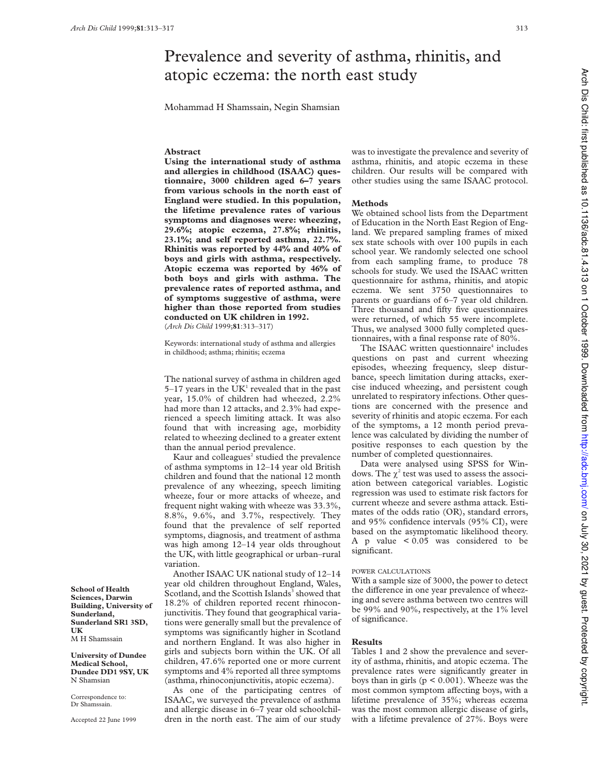# Prevalence and severity of asthma, rhinitis, and atopic eczema: the north east study

Mohammad H Shamssain, Negin Shamsian

## **Abstract**

**Using the international study of asthma and allergies in childhood (ISAAC) questionnaire, 3000 children aged 6–7 years from various schools in the north east of England were studied. In this population, the lifetime prevalence rates of various symptoms and diagnoses were: wheezing, 29.6%; atopic eczema, 27.8%; rhinitis, 23.1%; and self reported asthma, 22.7%. Rhinitis was reported by 44% and 40% of boys and girls with asthma, respectively. Atopic eczema was reported by 46% of both boys and girls with asthma. The prevalence rates of reported asthma, and of symptoms suggestive of asthma, were higher than those reported from studies conducted on UK children in 1992.** (*Arch Dis Child* 1999;**81**:313–317)

Keywords: international study of asthma and allergies in childhood; asthma; rhinitis; eczema

The national survey of asthma in children aged  $5-17$  years in the UK<sup>1</sup> revealed that in the past year, 15.0% of children had wheezed, 2.2% had more than 12 attacks, and 2.3% had experienced a speech limiting attack. It was also found that with increasing age, morbidity related to wheezing declined to a greater extent than the annual period prevalence.

Kaur and colleagues<sup>2</sup> studied the prevalence of asthma symptoms in 12–14 year old British children and found that the national 12 month prevalence of any wheezing, speech limiting wheeze, four or more attacks of wheeze, and frequent night waking with wheeze was 33.3%, 8.8%, 9.6%, and 3.7%, respectively. They found that the prevalence of self reported symptoms, diagnosis, and treatment of asthma was high among 12–14 year olds throughout the UK, with little geographical or urban–rural variation.

Another ISAAC UK national study of 12–14 year old children throughout England, Wales, Scotland, and the Scottish Islands<sup>3</sup> showed that 18.2% of children reported recent rhinoconjunctivitis. They found that geographical variations were generally small but the prevalence of symptoms was significantly higher in Scotland and northern England. It was also higher in girls and subjects born within the UK. Of all children, 47.6% reported one or more current symptoms and 4% reported all three symptoms (asthma, rhinoconjunctivitis, atopic eczema).

As one of the participating centres of ISAAC, we surveyed the prevalence of asthma and allergic disease in 6–7 year old schoolchildren in the north east. The aim of our study

was to investigate the prevalence and severity of asthma, rhinitis, and atopic eczema in these children. Our results will be compared with other studies using the same ISAAC protocol.

#### **Methods**

We obtained school lists from the Department of Education in the North East Region of England. We prepared sampling frames of mixed sex state schools with over 100 pupils in each school year. We randomly selected one school from each sampling frame, to produce 78 schools for study. We used the ISAAC written questionnaire for asthma, rhinitis, and atopic eczema. We sent 3750 questionnaires to parents or guardians of 6–7 year old children. Three thousand and fifty five questionnaires were returned, of which 55 were incomplete. Thus, we analysed 3000 fully completed questionnaires, with a final response rate of 80%.

The ISAAC written questionnaire<sup>4</sup> includes questions on past and current wheezing episodes, wheezing frequency, sleep disturbance, speech limitation during attacks, exercise induced wheezing, and persistent cough unrelated to respiratory infections. Other questions are concerned with the presence and severity of rhinitis and atopic eczema. For each of the symptoms, a 12 month period prevalence was calculated by dividing the number of positive responses to each question by the number of completed questionnaires.

Data were analysed using SPSS for Windows. The  $\chi^2$  test was used to assess the association between categorical variables. Logistic regression was used to estimate risk factors for current wheeze and severe asthma attack. Estimates of the odds ratio (OR), standard errors, and 95% confidence intervals (95% CI), were based on the asymptomatic likelihood theory. A p value  $< 0.05$  was considered to be significant.

## POWER CALCULATIONS

With a sample size of 3000, the power to detect the difference in one year prevalence of wheezing and severe asthma between two centres will be 99% and 90%, respectively, at the 1% level of significance.

#### **Results**

Tables 1 and 2 show the prevalence and severity of asthma, rhinitis, and atopic eczema. The prevalence rates were significantly greater in boys than in girls  $(p < 0.001)$ . Wheeze was the most common symptom affecting boys, with a lifetime prevalence of 35%; whereas eczema was the most common allergic disease of girls, with a lifetime prevalence of 27%. Boys were

**School of Health Sciences, Darwin Building, University of Sunderland, Sunderland SR1 3SD, UK** M H Shamssain

**University of Dundee Medical School, Dundee DD1 9SY, UK** N Shamsian

Correspondence to: Dr Shamssain.

Accepted 22 June 1999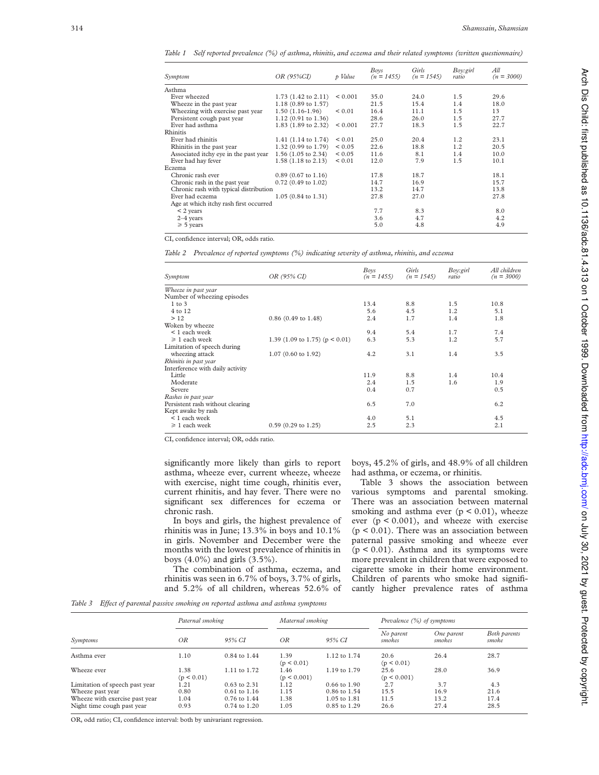*Table 1 Self reported prevalence (%) of asthma, rhinitis, and eczema and their related symptoms (written questionnaire)*

| Symptom                                | OR (95%CI)                       | p Value      | Boys<br>$(n = 1455)$ | Girls<br>$(n = 1545)$ | Boy:girl<br>ratio | All<br>$(n = 3000)$ |
|----------------------------------------|----------------------------------|--------------|----------------------|-----------------------|-------------------|---------------------|
| Asthma                                 |                                  |              |                      |                       |                   |                     |
| Ever wheezed                           | $1.73$ $(1.42 \text{ to } 2.11)$ | ${}_{0.001}$ | 35.0                 | 24.0                  | 1.5               | 29.6                |
| Wheeze in the past year                | 1.18 (0.89 to 1.57)              |              | 21.5                 | 15.4                  | 1.4               | 18.0                |
| Wheezing with exercise past year       | $1.50(1.16-1.96)$                | ${}_{0.01}$  | 16.4                 | 11.1                  | 1.5               | 13                  |
| Persistent cough past year             | $1.12$ (0.91 to 1.36)            |              | 28.6                 | 26.0                  | 1.5               | 27.7                |
| Ever had asthma                        | $1.83$ (1.89 to 2.32)            | ${}_{0.001}$ | 27.7                 | 18.3                  | 1.5               | 22.7                |
| Rhinitis                               |                                  |              |                      |                       |                   |                     |
| Ever had rhinitis                      | 1.41 $(1.14 \text{ to } 1.74)$   | ${}_{0.01}$  | 25.0                 | 20.4                  | 1.2               | 23.1                |
| Rhinitis in the past year              | $1.32(0.99 \text{ to } 1.79)$    | ${}_{0.05}$  | 22.6                 | 18.8                  | 1.2               | 20.5                |
| Associated itchy eye in the past year  | 1.56 $(1.05 \text{ to } 2.34)$   | ${}_{0.05}$  | 11.6                 | 8.1                   | 1.4               | 10.0                |
| Ever had hay fever                     | $1.58(1.18 \text{ to } 2.13)$    | ${}_{0.01}$  | 12.0                 | 7.9                   | 1.5               | 10.1                |
| Eczema                                 |                                  |              |                      |                       |                   |                     |
| Chronic rash ever                      | $0.89$ (0.67 to 1.16)            |              | 17.8                 | 18.7                  |                   | 18.1                |
| Chronic rash in the past year          | $0.72$ (0.49 to 1.02)            |              | 14.7                 | 16.9                  |                   | 15.7                |
| Chronic rash with typical distribution |                                  |              | 13.2                 | 14.7                  |                   | 13.8                |
| Ever had eczema                        | $1.05(0.84 \text{ to } 1.31)$    |              | 27.8                 | 27.0                  |                   | 27.8                |
| Age at which itchy rash first occurred |                                  |              |                      |                       |                   |                     |
| $<$ 2 years                            |                                  |              | 7.7                  | 8.3                   |                   | 8.0                 |
| $2-4$ years                            |                                  |              | 3.6                  | 4.7                   |                   | 4.2                 |
| $\geq 5$ years                         |                                  |              | 5.0                  | 4.8                   |                   | 4.9                 |
|                                        |                                  |              |                      |                       |                   |                     |

CI, confidence interval; OR, odds ratio.

*Table 2 Prevalence of reported symptoms (%) indicating severity of asthma, rhinitis, and eczema*

| Symptom                          | OR (95% CI)                        | Boys<br>$(n = 1455)$ | Girls<br>$(n = 1545)$ | Boy:girl<br>ratio | All children<br>$(n = 3000)$ |
|----------------------------------|------------------------------------|----------------------|-----------------------|-------------------|------------------------------|
| Wheeze in past year              |                                    |                      |                       |                   |                              |
| Number of wheezing episodes      |                                    |                      |                       |                   |                              |
| $1$ to $3$                       |                                    | 13.4                 | 8.8                   | 1.5               | 10.8                         |
| 4 to 12                          |                                    | 5.6                  | 4.5                   | 1.2               | 5.1                          |
| >12                              | $0.86$ (0.49 to 1.48)              | 2.4                  | 1.7                   | 1.4               | 1.8                          |
| Woken by wheeze                  |                                    |                      |                       |                   |                              |
| < 1 each week                    |                                    | 9.4                  | 5.4                   | 1.7               | 7.4                          |
| $\geq 1$ each week               | 1.39 (1.09 to 1.75) ( $p < 0.01$ ) | 6.3                  | 5.3                   | 1.2               | 5.7                          |
| Limitation of speech during      |                                    |                      |                       |                   |                              |
| wheezing attack                  | $1.07$ (0.60 to 1.92)              | 4.2                  | 3.1                   | 1.4               | 3.5                          |
| Rhinitis in past year            |                                    |                      |                       |                   |                              |
| Interference with daily activity |                                    |                      |                       |                   |                              |
| Little                           |                                    | 11.9                 | 8.8                   | 1.4               | 10.4                         |
| Moderate                         |                                    | 2.4                  | 1.5                   | 1.6               | 1.9                          |
| Severe                           |                                    | 0.4                  | 0.7                   |                   | 0.5                          |
| Rashes in past year              |                                    |                      |                       |                   |                              |
| Persistent rash without clearing |                                    | 6.5                  | 7.0                   |                   | 6.2                          |
| Kept awake by rash               |                                    |                      |                       |                   |                              |
| < 1 each week                    |                                    | 4.0                  | 5.1                   |                   | 4.5                          |
| $\geq 1$ each week               | $0.59$ (0.29 to 1.25)              | 2.5                  | 2.3                   |                   | 2.1                          |

CI, confidence interval; OR, odds ratio.

significantly more likely than girls to report asthma, wheeze ever, current wheeze, wheeze with exercise, night time cough, rhinitis ever, current rhinitis, and hay fever. There were no significant sex differences for eczema or chronic rash.

In boys and girls, the highest prevalence of rhinitis was in June; 13.3% in boys and 10.1% in girls. November and December were the months with the lowest prevalence of rhinitis in boys (4.0%) and girls (3.5%).

The combination of asthma, eczema, and rhinitis was seen in 6.7% of boys, 3.7% of girls, and 5.2% of all children, whereas 52.6% of boys, 45.2% of girls, and 48.9% of all children had asthma, or eczema, or rhinitis.

Table 3 shows the association between various symptoms and parental smoking. There was an association between maternal smoking and asthma ever  $(p < 0.01)$ , wheeze ever  $(p < 0.001)$ , and wheeze with exercise  $(p < 0.01)$ . There was an association between paternal passive smoking and wheeze ever  $(p < 0.01)$ . Asthma and its symptoms were more prevalent in children that were exposed to cigarette smoke in their home environment. Children of parents who smoke had significantly higher prevalence rates of asthma

*Table 3* Effect of parental passive smoking on reported asthma and asthma symptoms

| Symptoms                       | Paternal smoking   |                  | Maternal smoking    |                  | Prevalence (%) of symptoms |                      |                       |
|--------------------------------|--------------------|------------------|---------------------|------------------|----------------------------|----------------------|-----------------------|
|                                | OR.                | 95% CI           | OR.                 | 95% CI           | No parent<br>smokes        | One parent<br>smokes | Both parents<br>smoke |
| Asthma ever                    | 1.10               | 0.84 to 1.44     | 1.39<br>(p < 0.01)  | 1.12 to 1.74     | 20.6<br>(p < 0.01)         | 26.4                 | 28.7                  |
| Wheeze ever                    | 1.38<br>(p < 0.01) | 1.11 to 1.72     | 1.46<br>(p < 0.001) | 1.19 to 1.79     | 25.6<br>(p < 0.001)        | 28.0                 | 36.9                  |
| Limitation of speech past year | 1.21               | $0.63$ to $2.31$ | 1.12                | $0.66$ to $1.90$ | 2.7                        | 3.7                  | 4.3                   |
| Wheeze past year               | 0.80               | $0.61$ to $1.16$ | 1.15                | $0.86$ to $1.54$ | 15.5                       | 16.9                 | 21.6                  |
| Wheeze with exercise past year | 1.04               | 0.76 to 1.44     | 1.38                | $1.05$ to $1.81$ | 11.5                       | 13.2                 | 17.4                  |
| Night time cough past year     | 0.93               | $0.74$ to $1.20$ | 1.05                | $0.85$ to $1.29$ | 26.6                       | 27.4                 | 28.5                  |

OR, odd ratio; CI, confidence interval: both by univariant regression.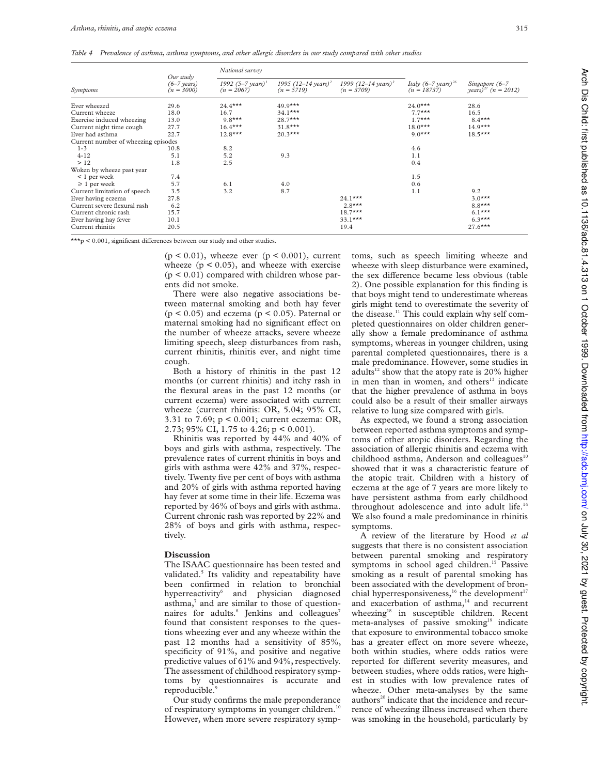*Table 4 Prevalence of asthma, asthma symptoms, and other allergic disorders in our study compared with other studies*

| Symptoms                            | Our study<br>$(6-7 \text{ years})$<br>$(n = 3000)$ | National survey                              |                                                 |                                                 |                                                   |                                            |
|-------------------------------------|----------------------------------------------------|----------------------------------------------|-------------------------------------------------|-------------------------------------------------|---------------------------------------------------|--------------------------------------------|
|                                     |                                                    | 1992 $(5-7 \text{ years})^1$<br>$(n = 2067)$ | 1995 (12–14 years) <sup>2</sup><br>$(n = 5719)$ | 1999 (12–14 years) <sup>3</sup><br>$(n = 3709)$ | Italy $(6-7 \text{ years})^{26}$<br>$(n = 18737)$ | Singapore (6–7<br>$years)^{27}$ (n = 2012) |
| Ever wheezed                        | 29.6                                               | $24.4***$                                    | $49.9***$                                       |                                                 | $24.0***$                                         | 28.6                                       |
| Current wheeze                      | 18.0                                               | 16.7                                         | $34.1***$                                       |                                                 | $7.7***$                                          | 16.5                                       |
| Exercise induced wheezing           | 13.0                                               | $9.8***$                                     | $28.7***$                                       |                                                 | $1.7***$                                          | $8.4***$                                   |
| Current night time cough            | 27.7                                               | $16.4***$                                    | $31.8***$                                       |                                                 | $18.0***$                                         | $14.9***$                                  |
| Ever had asthma                     | 22.7                                               | $12.8***$                                    | $20.3***$                                       |                                                 | $9.0***$                                          | $18.5***$                                  |
| Current number of wheezing episodes |                                                    |                                              |                                                 |                                                 |                                                   |                                            |
| $1 - 3$                             | 10.8                                               | 8.2                                          |                                                 |                                                 | 4.6                                               |                                            |
| $4 - 12$                            | 5.1                                                | 5.2                                          | 9.3                                             |                                                 | 1.1                                               |                                            |
| >12                                 | 1.8                                                | 2.5                                          |                                                 |                                                 | 0.4                                               |                                            |
| Woken by wheeze past year           |                                                    |                                              |                                                 |                                                 |                                                   |                                            |
| $\leq 1$ per week                   | 7.4                                                |                                              |                                                 |                                                 | 1.5                                               |                                            |
| $\geq 1$ per week                   | 5.7                                                | 6.1                                          | 4.0                                             |                                                 | 0.6                                               |                                            |
| Current limitation of speech        | 3.5                                                | 3.2                                          | 8.7                                             |                                                 | 1.1                                               | 9.2                                        |
| Ever having eczema                  | 27.8                                               |                                              |                                                 | $24.1***$                                       |                                                   | $3.0***$                                   |
| Current severe flexural rash        | 6.2                                                |                                              |                                                 | $2.8***$                                        |                                                   | $8.8***$                                   |
| Current chronic rash                | 15.7                                               |                                              |                                                 | $18.7***$                                       |                                                   | $6.1***$                                   |
| Ever having hay fever               | 10.1                                               |                                              |                                                 | $33.1***$                                       |                                                   | $6.3***$                                   |
| Current rhinitis                    | 20.5                                               |                                              |                                                 | 19.4                                            |                                                   | $27.6***$                                  |

\*\*\*p <  $0.001$ , significant differences between our study and other studies.

 $(p < 0.01)$ , wheeze ever  $(p < 0.001)$ , current wheeze  $(p < 0.05)$ , and wheeze with exercise  $(p < 0.01)$  compared with children whose parents did not smoke.

There were also negative associations between maternal smoking and both hay fever ( $p < 0.05$ ) and eczema ( $p < 0.05$ ). Paternal or maternal smoking had no significant effect on the number of wheeze attacks, severe wheeze limiting speech, sleep disturbances from rash, current rhinitis, rhinitis ever, and night time cough.

Both a history of rhinitis in the past 12 months (or current rhinitis) and itchy rash in the flexural areas in the past 12 months (or current eczema) were associated with current wheeze (current rhinitis: OR, 5.04; 95% CI, 3.31 to 7.69; p < 0.001; current eczema: OR, 2.73; 95% CI, 1.75 to 4.26; p < 0.001).

Rhinitis was reported by 44% and 40% of boys and girls with asthma, respectively. The prevalence rates of current rhinitis in boys and girls with asthma were 42% and 37%, respectively. Twenty five per cent of boys with asthma and 20% of girls with asthma reported having hay fever at some time in their life. Eczema was reported by 46% of boys and girls with asthma. Current chronic rash was reported by 22% and 28% of boys and girls with asthma, respectively.

### **Discussion**

The ISAAC questionnaire has been tested and validated.<sup>5</sup> Its validity and repeatability have been confirmed in relation to bronchial hyperreactivity<sup>6</sup> and physician diagnosed asthma,<sup>7</sup> and are similar to those of questionnaires for adults.<sup>8</sup> Jenkins and colleagues<sup>7</sup> found that consistent responses to the questions wheezing ever and any wheeze within the past 12 months had a sensitivity of 85%, specificity of 91%, and positive and negative predictive values of 61% and 94%, respectively. The assessment of childhood respiratory symptoms by questionnaires is accurate and reproducible.<sup>9</sup>

Our study confirms the male preponderance of respiratory symptoms in younger children.<sup>10</sup> However, when more severe respiratory symptoms, such as speech limiting wheeze and wheeze with sleep disturbance were examined, the sex difference became less obvious (table 2). One possible explanation for this finding is that boys might tend to underestimate whereas girls might tend to overestimate the severity of the disease.<sup>11</sup> This could explain why self completed questionnaires on older children generally show a female predominance of asthma symptoms, whereas in younger children, using parental completed questionnaires, there is a male predominance. However, some studies in adults<sup>12</sup> show that the atopy rate is  $20\%$  higher in men than in women, and others<sup>13</sup> indicate that the higher prevalence of asthma in boys could also be a result of their smaller airways relative to lung size compared with girls.

As expected, we found a strong association between reported asthma symptoms and symptoms of other atopic disorders. Regarding the association of allergic rhinitis and eczema with childhood asthma, Anderson and colleagues<sup>10</sup> showed that it was a characteristic feature of the atopic trait. Children with a history of eczema at the age of 7 years are more likely to have persistent asthma from early childhood throughout adolescence and into adult life.<sup>14</sup> We also found a male predominance in rhinitis symptoms.

A review of the literature by Hood *et al* suggests that there is no consistent association between parental smoking and respiratory symptoms in school aged children.<sup>15</sup> Passive smoking as a result of parental smoking has been associated with the development of bronchial hyperresponsiveness,<sup>16</sup> the development<sup>17</sup> and exacerbation of asthma,<sup>14</sup> and recurrent wheezing<sup>18</sup> in susceptible children. Recent meta-analyses of passive smoking<sup>19</sup> indicate that exposure to environmental tobacco smoke has a greater effect on more severe wheeze, both within studies, where odds ratios were reported for different severity measures, and between studies, where odds ratios, were highest in studies with low prevalence rates of wheeze. Other meta-analyses by the same authors<sup>20</sup> indicate that the incidence and recurrence of wheezing illness increased when there was smoking in the household, particularly by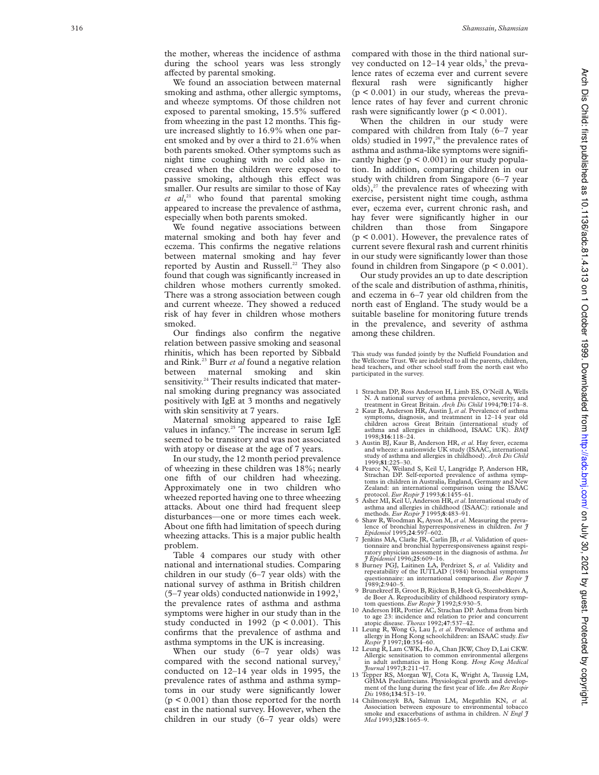the mother, whereas the incidence of asthma during the school years was less strongly affected by parental smoking.

We found an association between maternal smoking and asthma, other allergic symptoms, and wheeze symptoms. Of those children not exposed to parental smoking, 15.5% suffered from wheezing in the past 12 months. This figure increased slightly to 16.9% when one parent smoked and by over a third to 21.6% when both parents smoked. Other symptoms such as night time coughing with no cold also increased when the children were exposed to passive smoking, although this effect was smaller. Our results are similar to those of Kay *et al*, <sup>21</sup> who found that parental smoking appeared to increase the prevalence of asthma, especially when both parents smoked.

We found negative associations between maternal smoking and both hay fever and eczema. This confirms the negative relations between maternal smoking and hay fever reported by Austin and Russell.<sup>22</sup> They also found that cough was significantly increased in children whose mothers currently smoked. There was a strong association between cough and current wheeze. They showed a reduced risk of hay fever in children whose mothers smoked.

Our findings also confirm the negative relation between passive smoking and seasonal rhinitis, which has been reported by Sibbald and Rink.<sup>23</sup> Burr *et al* found a negative relation between maternal smoking and skin sensitivity.<sup>24</sup> Their results indicated that maternal smoking during pregnancy was associated positively with IgE at 3 months and negatively with skin sensitivity at 7 years.

Maternal smoking appeared to raise IgE values in infancy.<sup>25</sup> The increase in serum IgE seemed to be transitory and was not associated with atopy or disease at the age of 7 years.

In our study, the 12 month period prevalence of wheezing in these children was 18%; nearly one fifth of our children had wheezing. Approximately one in two children who wheezed reported having one to three wheezing attacks. About one third had frequent sleep disturbances—one or more times each week. About one fifth had limitation of speech during wheezing attacks. This is a major public health problem.

Table 4 compares our study with other national and international studies. Comparing children in our study (6–7 year olds) with the national survey of asthma in British children  $(5-7 \text{ year}$  olds) conducted nationwide in  $1992$ ,<sup>1</sup> the prevalence rates of asthma and asthma symptoms were higher in our study than in the study conducted in 1992 ( $p < 0.001$ ). This confirms that the prevalence of asthma and asthma symptoms in the UK is increasing.

When our study (6–7 year olds) was compared with the second national survey,<sup>2</sup> conducted on 12–14 year olds in 1995, the prevalence rates of asthma and asthma symptoms in our study were significantly lower  $(p < 0.001)$  than those reported for the north east in the national survey. However, when the children in our study (6–7 year olds) were

compared with those in the third national survey conducted on  $12-14$  year olds,<sup>3</sup> the prevalence rates of eczema ever and current severe flexural rash were significantly higher  $(p < 0.001)$  in our study, whereas the prevalence rates of hay fever and current chronic rash were significantly lower ( $p \le 0.001$ ).

When the children in our study were compared with children from Italy (6–7 year olds) studied in 1997, $^{26}$  the prevalence rates of asthma and asthma-like symptoms were significantly higher  $(p < 0.001)$  in our study population. In addition, comparing children in our study with children from Singapore (6–7 year olds), $27$  the prevalence rates of wheezing with exercise, persistent night time cough, asthma ever, eczema ever, current chronic rash, and hay fever were significantly higher in our children than those from Singapore (p < 0.001). However, the prevalence rates of current severe flexural rash and current rhinitis in our study were significantly lower than those found in children from Singapore ( $p \le 0.001$ ).

Our study provides an up to date description of the scale and distribution of asthma, rhinitis, and eczema in 6–7 year old children from the north east of England. The study would be a suitable baseline for monitoring future trends in the prevalence, and severity of asthma among these children.

This study was funded jointly by the Nuffield Foundation and the Wellcome Trust. We are indebted to all the parents, children, head teachers, and other school staff from the north east who participated in the survey.

- 1 Strachan DP, Ross Anderson H, Limb ES, O'Neill A, Wells<br>N. A national survey of asthma prevalence, severity, and<br>treatment in Great Britain. Arch Dis Child 1994;70:174-8.<br>2 Kaur B, Anderson HR, Austin J, et al. Prevalenc
- symptoms, diagnosis, and treatmnent in 12–14 year old children across Great Britain (international study of asthma and allergies in childhood, ISAAC UK). *BMJ* 1998;**316**:118–24.
- 3 Austin BJ, Kaur B, Anderson HR, *et al*. Hay fever, eczema and wheeze: a nationwide UK study (ISAAC, international study of asthma and allergies in childhood). *Arch Dis Child* 1999;**81**:225–30.
- 4 Pearce N, Weiland S, Keil U, Langridge P, Anderson HR, Strachan DP. Self-reported prevalence of asthma symptoms in children in Australia, England, Germany and New Zealand: an international comparison using the ISAAC protocol. *Eur Respir J* 1993; **6**:1455–61.
- 5 Asher MI, Keil U, Anderson HR,*et al*. International study of asthma and allergies in childhood (ISAAC): rationale and methods. *Eur Respir*  $\hat{J}$  1995;8:483-91.<br>6 Shaw R, Woodman K, Ayson M, *et al.* Measuring the preva-
- lence of bronchial hyperresponsiveness in children. *Int J Epidemiol* 1995;**24**:597–602.
- 7 Jenkins MA, Clarke JR, Carlin JB, *et al.* Validation of questionnaire and bronchial hyperresponsiveness against respiratory physician assessment in the diagnosis of asthma. *Int J Epidemiol* 1996;**25**:609–16.
- 8 Burney PGJ, Laitinen LA, Perdrizet S, *et al.* Validity and repeatability of the IUTLAD (1984) bronchial symptoms questionnaire: an international comparison. *Eur Respir J* 1989; **2**:940–5.
- 9 Brunekreef B, Groot B, Rijcken B, Hoek G, Steenbekkers A, de Boer A. Reproducibility of childhood respiratory symp-
- tom questions. *Eur Respir J* 1992;**5**:930–5. 10 Anderson HR, Pottier AC, Strachan DP. Asthma from birth to age 23: incidence and relation to prior and concurrent atopic disease. *Thorax* 1992;**47**:537–42.
- 11 Leung R, Wong G, Lau J, *et al*. Prevalence of asthma and allergy in Hong Kong schoolchildren: an ISAAC study. *Eur Respir J* 1997;**10**:354–60.
- 12 Leung R, Lam CWK, Ho A, Chan JKW, Choy D, Lai CKW. Allergic sensitisation to common environmental allergens in adult asthmatics in Hong Kong. *Hong Kong Medical Journal* 1997; **3**:211 −17. 13 Tepper RS, Morgan WJ, Cota K, Wright A, Taussig LM,
- GHMA Paediatricians. Physiological growth and development of the lung during the first year of life. *Am Rev Respir Dis* 1986;**134**:513–19.
- 14 Chilmonezyk BA, Salmun LM, Megathlin KN, *et al.* Association between exposure to environmental tobacco smoke and exacerbations of asthma in children. *N Engl J Med* 1993;**328**:1665–9.